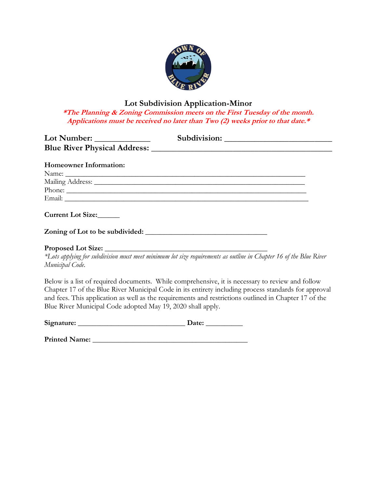

## **Lot Subdivision Application-Minor**

**\*The Planning & Zoning Commission meets on the First Tuesday of the month. Applications must be received no later than Two (2) weeks prior to that date.\***

| <b>Homeowner Information:</b>   |                                                                                                                   |
|---------------------------------|-------------------------------------------------------------------------------------------------------------------|
|                                 |                                                                                                                   |
|                                 | Mailing Address: National Communication of the Mailing Address:                                                   |
|                                 | Phone:                                                                                                            |
|                                 |                                                                                                                   |
| Current Lot Size:               |                                                                                                                   |
| Zoning of Lot to be subdivided: |                                                                                                                   |
|                                 |                                                                                                                   |
|                                 | *Lots applying for subdivision must meet minimum lot size requirements as outline in Chapter 16 of the Blue River |
| Municipal Code.                 |                                                                                                                   |

Below is a list of required documents. While comprehensive, it is necessary to review and follow Chapter 17 of the Blue River Municipal Code in its entirety including process standards for approval and fees. This application as well as the requirements and restrictions outlined in Chapter 17 of the Blue River Municipal Code adopted May 19, 2020 shall apply.

| Signature: | Date: |
|------------|-------|
|            |       |